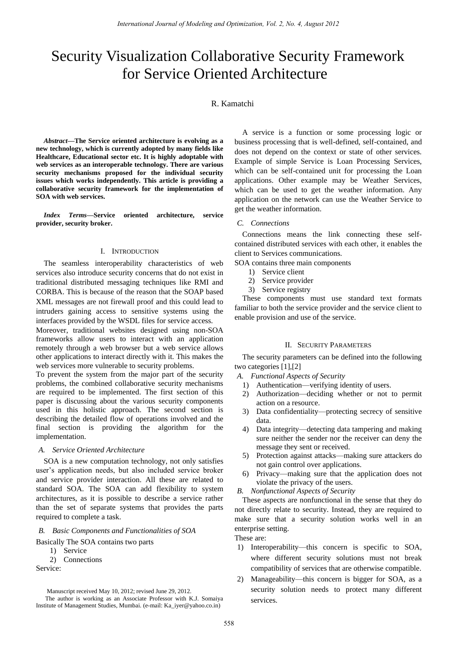# Security Visualization Collaborative Security Framework for Service Oriented Architecture

# R. Kamatchi

*Abstract***—The Service oriented architecture is evolving as a new technology, which is currently adopted by many fields like Healthcare, Educational sector etc. It is highly adoptable with web services as an interoperable technology. There are various security mechanisms proposed for the individual security issues which works independently. This article is providing a collaborative security framework for the implementation of SOA with web services.** 

*Index Terms***—Service oriented architecture, service provider, security broker.**

#### I. INTRODUCTION

The seamless interoperability characteristics of web services also introduce security concerns that do not exist in traditional distributed messaging techniques like RMI and CORBA. This is because of the reason that the SOAP based XML messages are not firewall proof and this could lead to intruders gaining access to sensitive systems using the interfaces provided by the WSDL files for service access.

Moreover, traditional websites designed using non-SOA frameworks allow users to interact with an application remotely through a web browser but a web service allows other applications to interact directly with it. This makes the web services more vulnerable to security problems.

To prevent the system from the major part of the security problems, the combined collaborative security mechanisms are required to be implemented. The first section of this paper is discussing about the various security components used in this holistic approach. The second section is describing the detailed flow of operations involved and the final section is providing the algorithm for the implementation.

#### *A. Service Oriented Architecture*

SOA is a new computation technology, not only satisfies user's application needs, but also included service broker and service provider interaction. All these are related to standard SOA. The SOA can add flexibility to system architectures, as it is possible to describe a service rather than the set of separate systems that provides the parts required to complete a task.

#### *B. Basic Components and Functionalities of SOA*

Basically The SOA contains two parts

- 1) Service
- 2) Connections

Service:

The author is working as an Associate Professor with K.J. Somaiya Institute of Management Studies, Mumbai. (e-mail: Ka\_iyer@yahoo.co.in)

A service is a function or some processing logic or business processing that is well-defined, self-contained, and does not depend on the context or state of other services. Example of simple Service is Loan Processing Services, which can be self-contained unit for processing the Loan applications. Other example may be Weather Services, which can be used to get the weather information. Any application on the network can use the Weather Service to get the weather information.

#### *C. Connections*

Connections means the link connecting these selfcontained distributed services with each other, it enables the client to Services communications.

SOA contains three main components

- 1) Service client
- 2) Service provider
- 3) Service registry

These components must use standard text formats familiar to both the service provider and the service client to enable provision and use of the service.

#### II. SECURITY PARAMETERS

The security parameters can be defined into the following two categories [1],[2]

*A. Functional Aspects of Security*

- 1) Authentication—verifying identity of users.
- 2) Authorization—deciding whether or not to permit action on a resource.
- 3) Data confidentiality—protecting secrecy of sensitive data.
- 4) Data integrity—detecting data tampering and making sure neither the sender nor the receiver can deny the message they sent or received.
- 5) Protection against attacks—making sure attackers do not gain control over applications.
- 6) Privacy—making sure that the application does not violate the privacy of the users.

*B. Nonfunctional Aspects of Security*

These aspects are nonfunctional in the sense that they do not directly relate to security. Instead, they are required to make sure that a security solution works well in an enterprise setting.

#### These are:

- 1) Interoperability—this concern is specific to SOA, where different security solutions must not break compatibility of services that are otherwise compatible.
- 2) Manageability—this concern is bigger for SOA, as a security solution needs to protect many different services.

Manuscript received May 10, 2012; revised June 29, 2012.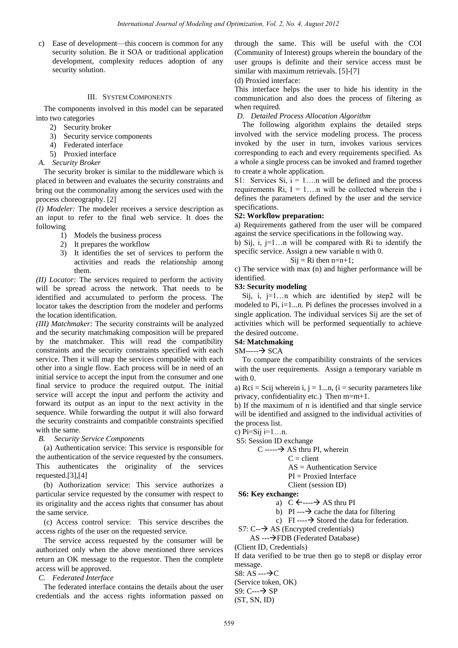c) Ease of development—this concern is common for any security solution. Be it SOA or traditional application development, complexity reduces adoption of any security solution.

#### III. SYSTEM COMPONENTS

The components involved in this model can be separated into two categories

- 2) Security broker
- 3) Security service components
- 4) Federated interface
- 5) Proxied interface
- *A. Security Broker*

The security broker is similar to the middleware which is placed in between and evaluates the security constraints and bring out the commonality among the services used with the process choreography. [2]

*(I) Modeler:* The modeler receives a service description as an input to refer to the final web service. It does the following

- 1) Models the business process
- 2) It prepares the workflow
- 3) It identifies the set of services to perform the activities and reads the relationship among them.

*(II) Locator:* The services required to perform the activity will be spread across the network. That needs to be identified and accumulated to perform the process. The locator takes the description from the modeler and performs the location identification.

*(III) Matchmaker:* The security constraints will be analyzed and the security matchmaking composition will be prepared by the matchmaker. This will read the compatibility constraints and the security constraints specified with each service. Then it will map the services compatible with each other into a single flow. Each process will be in need of an initial service to accept the input from the consumer and one final service to produce the required output. The initial service will accept the input and perform the activity and forward its output as an input to the next activity in the sequence. While forwarding the output it will also forward the security constraints and compatible constraints specified with the same.

*B. Security Service Components* 

(a) Authentication service: This service is responsible for the authentication of the service requested by the consumers. This authenticates the originality of the services requested.[3],[4]

(b) Authorization service: This service authorizes a particular service requested by the consumer with respect to its originality and the access rights that consumer has about the same service.

(c) Access control service: This service describes the access rights of the user on the requested service.

The service access requested by the consumer will be authorized only when the above mentioned three services return an OK message to the requestor. Then the complete access will be approved.

*C. Federated Interface* 

The federated interface contains the details about the user credentials and the access rights information passed on through the same. This will be useful with the COI (Community of Interest) groups wherein the boundary of the user groups is definite and their service access must be similar with maximum retrievals. [5]-[7]

#### (d) Proxied interface:

This interface helps the user to hide his identity in the communication and also does the process of filtering as when required.

#### *D. Detailed Process Allocation Algorithm*

The following algorithm explains the detailed steps involved with the service modeling process. The process invoked by the user in turn, invokes various services corresponding to each and every requirements specified. As a whole a single process can be invoked and framed together to create a whole application.

S1: Services Si,  $i = 1...n$  will be defined and the process requirements  $Ri$ ,  $I = 1...n$  will be collected wherein the i defines the parameters defined by the user and the service specifications.

#### **S2: Workflow preparation:**

a) Requirements gathered from the user will be compared against the service specifications in the following way.

b) Sij, i, j=1…n will be compared with Ri to identify the specific service. Assign a new variable n with 0.

# $Sij = Ri$  then  $n=n+1$ ;

c) The service with max (n) and higher performance will be identified.

## **S3: Security modeling**

Sij, i,  $j=1...n$  which are identified by step2 will be modeled to Pi, i=1...n. Pi defines the processes involved in a single application. The individual services Sij are the set of activities which will be performed sequentially to achieve the desired outcome.

## **S4: Matchmaking**

 $SM$ ----- $\rightarrow$  SCA

To compare the compatibility constraints of the services with the user requirements. Assign a temporary variable m with  $0$ .

a) Rci = Scij wherein i, j = 1...n, (i = security parameters like privacy, confidentiality etc.) Then m=m+1.

b) If the maximum of n is identified and that single service will be identified and assigned to the individual activities of the process list.

c)  $Pi=Sij = 1...n$ .

S5: Session ID exchange

 $C$  ----- $\rightarrow$  AS thru PI, wherein

 $C =$  client

AS = Authentication Service

PI = Proxied Interface

Client (session ID)

## **S6: Key exchange:**

a)  $C \leftarrow \rightarrow AS$  thru PI

b) PI --- $\rightarrow$  cache the data for filtering

c) FI--- $\rightarrow$  Stored the data for federation.

 $S7: C \rightarrow AS$  (Encrypted credentials)

AS ---FDB (Federated Database)

(Client ID, Credentials)

If data verified to be true then go to step8 or display error message.

 $S8: AS --\rightarrow C$ 

(Service token, OK)

 $S9: C \rightarrow SP$  $(ST, SN, ID)$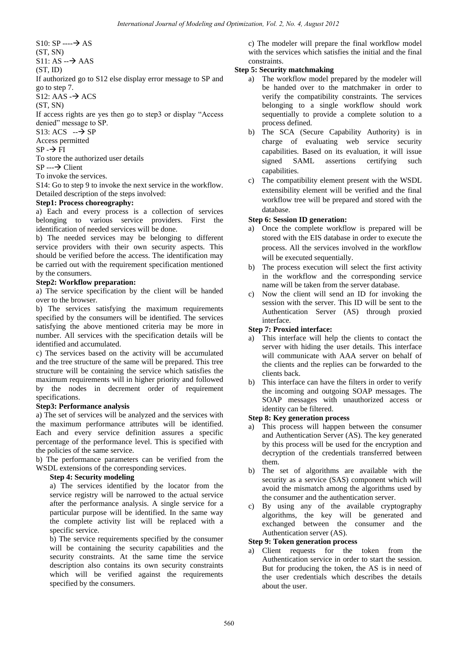$S10: SP \rightarrow AS$ 

(ST, SN)

 $S11: AS \rightarrow AAS$ 

 $(ST, ID)$ 

If authorized go to S12 else display error message to SP and go to step 7.

 $S12: AAS \rightarrow ACS$ 

(ST, SN)

If access rights are yes then go to step3 or display "Access" denied" message to SP.

 $S13:ACS \rightarrow SP$ 

Access permitted

 $SP \rightarrow FI$ 

To store the authorized user details

 $SP \rightarrow$  Client

To invoke the services.

S14: Go to step 9 to invoke the next service in the workflow. Detailed description of the steps involved:

# **Step1: Process choreography:**

a) Each and every process is a collection of services belonging to various service providers. First the identification of needed services will be done.

b) The needed services may be belonging to different service providers with their own security aspects. This should be verified before the access. The identification may be carried out with the requirement specification mentioned by the consumers.

## **Step2: Workflow preparation:**

a) The service specification by the client will be handed over to the browser.

b) The services satisfying the maximum requirements specified by the consumers will be identified. The services satisfying the above mentioned criteria may be more in number. All services with the specification details will be identified and accumulated.

c) The services based on the activity will be accumulated and the tree structure of the same will be prepared. This tree structure will be containing the service which satisfies the maximum requirements will in higher priority and followed by the nodes in decrement order of requirement specifications.

## **Step3: Performance analysis**

a) The set of services will be analyzed and the services with the maximum performance attributes will be identified. Each and every service definition assures a specific percentage of the performance level. This is specified with the policies of the same service.

b) The performance parameters can be verified from the WSDL extensions of the corresponding services.

## **Step 4: Security modeling**

a) The services identified by the locator from the service registry will be narrowed to the actual service after the performance analysis. A single service for a particular purpose will be identified. In the same way the complete activity list will be replaced with a specific service.

b) The service requirements specified by the consumer will be containing the security capabilities and the security constraints. At the same time the service description also contains its own security constraints which will be verified against the requirements specified by the consumers.

c) The modeler will prepare the final workflow model with the services which satisfies the initial and the final constraints.

# **Step 5: Security matchmaking**

- a) The workflow model prepared by the modeler will be handed over to the matchmaker in order to verify the compatibility constraints. The services belonging to a single workflow should work sequentially to provide a complete solution to a process defined.
- b) The SCA (Secure Capability Authority) is in charge of evaluating web service security capabilities. Based on its evaluation, it will issue signed SAML assertions certifying such capabilities.
- c) The compatibility element present with the WSDL extensibility element will be verified and the final workflow tree will be prepared and stored with the database.

# **Step 6: Session ID generation:**

- a) Once the complete workflow is prepared will be stored with the EIS database in order to execute the process. All the services involved in the workflow will be executed sequentially.
- b) The process execution will select the first activity in the workflow and the corresponding service name will be taken from the server database.
- c) Now the client will send an ID for invoking the session with the server. This ID will be sent to the Authentication Server (AS) through proxied interface.

# **Step 7: Proxied interface:**

- a) This interface will help the clients to contact the server with hiding the user details. This interface will communicate with AAA server on behalf of the clients and the replies can be forwarded to the clients back.
- b) This interface can have the filters in order to verify the incoming and outgoing SOAP messages. The SOAP messages with unauthorized access or identity can be filtered.

## **Step 8: Key generation process**

- a) This process will happen between the consumer and Authentication Server (AS). The key generated by this process will be used for the encryption and decryption of the credentials transferred between them.
- b) The set of algorithms are available with the security as a service (SAS) component which will avoid the mismatch among the algorithms used by the consumer and the authentication server.
- c) By using any of the available cryptography algorithms, the key will be generated and exchanged between the consumer and the Authentication server (AS).

## **Step 9: Token generation process**

a) Client requests for the token from the Authentication service in order to start the session. But for producing the token, the AS is in need of the user credentials which describes the details about the user.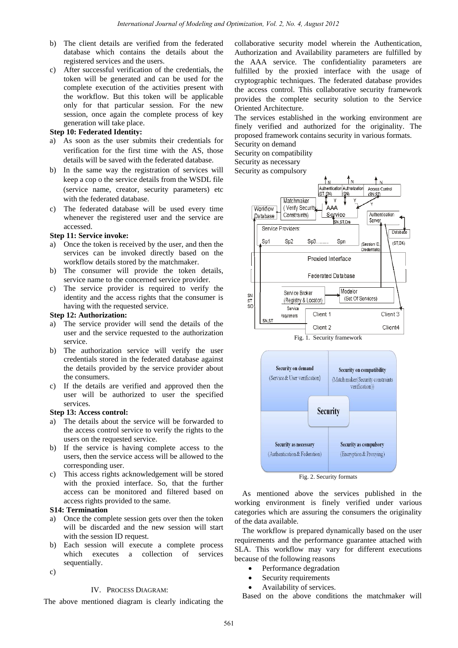- b) The client details are verified from the federated database which contains the details about the registered services and the users.
- c) After successful verification of the credentials, the token will be generated and can be used for the complete execution of the activities present with the workflow. But this token will be applicable only for that particular session. For the new session, once again the complete process of key generation will take place.

#### **Step 10: Federated Identity:**

- a) As soon as the user submits their credentials for verification for the first time with the AS, those details will be saved with the federated database.
- b) In the same way the registration of services will keep a cop o the service details from the WSDL file (service name, creator, security parameters) etc with the federated database.
- c) The federated database will be used every time whenever the registered user and the service are accessed.

#### **Step 11: Service invoke:**

- a) Once the token is received by the user, and then the services can be invoked directly based on the workflow details stored by the matchmaker.
- b) The consumer will provide the token details, service name to the concerned service provider.
- c) The service provider is required to verify the identity and the access rights that the consumer is having with the requested service.

# **Step 12: Authorization:**

- a) The service provider will send the details of the user and the service requested to the authorization service.
- b) The authorization service will verify the user credentials stored in the federated database against the details provided by the service provider about the consumers.
- c) If the details are verified and approved then the user will be authorized to user the specified services.

#### **Step 13: Access control:**

- The details about the service will be forwarded to the access control service to verify the rights to the users on the requested service.
- b) If the service is having complete access to the users, then the service access will be allowed to the corresponding user.
- c) This access rights acknowledgement will be stored with the proxied interface. So, that the further access can be monitored and filtered based on access rights provided to the same.

#### **S14: Termination**

- a) Once the complete session gets over then the token will be discarded and the new session will start with the session ID request.
- b) Each session will execute a complete process which executes a collection of services sequentially.
- c)

#### IV. PROCESS DIAGRAM:

The above mentioned diagram is clearly indicating the

collaborative security model wherein the Authentication, Authorization and Availability parameters are fulfilled by the AAA service. The confidentiality parameters are fulfilled by the proxied interface with the usage of cryptographic techniques. The federated database provides the access control. This collaborative security framework provides the complete security solution to the Service Oriented Architecture.

The services established in the working environment are finely verified and authorized for the originality. The proposed framework contains security in various formats.

Security on demand Security on compatibility Security as necessary

Security as compulsory





**Security as compulsory** 

As mentioned above the services published in the working environment is finely verified under various categories which are assuring the consumers the originality of the data available.

The workflow is prepared dynamically based on the user requirements and the performance guarantee attached with SLA. This workflow may vary for different executions because of the following reasons

Performance degradation

**Security as necessary** 

- Security requirements
- Availability of services.

Based on the above conditions the matchmaker will